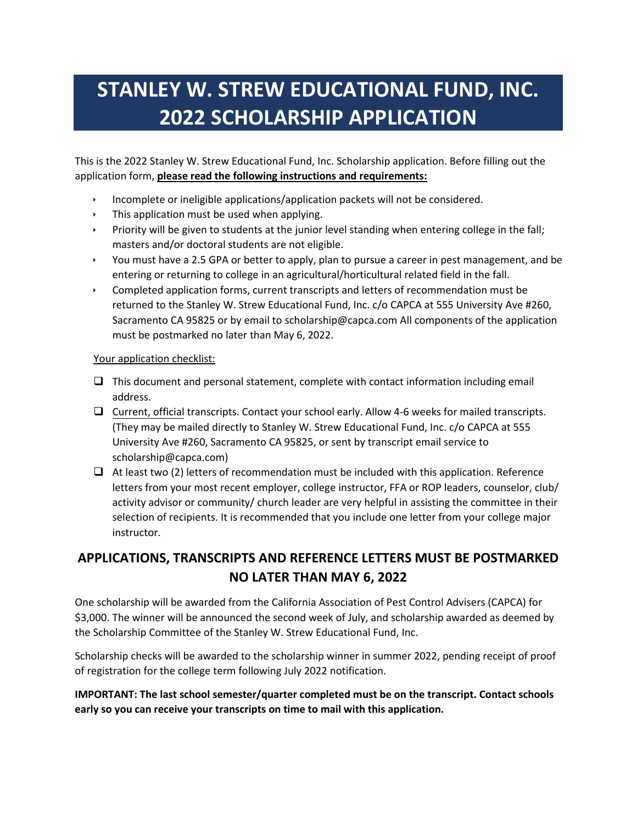# **STANLEY W. STREW EDUCATIONAL FUND, INC. 2022 SCHOLARSHIP APPLICATION**

This is the 2022 Stanley W. Strew Educational Fund, Inc. Scholarship application. Before filling out the application form, **please read the following instructions and requirements:**

- Incomplete or ineligible applications/application packets will not be considered.
- $\cdot$  This application must be used when applying.
- Priority will be given to students at the junior level standing when entering college in the fall; masters and/or doctoral students are not eligible.
- You must have a 2.5 GPA or better to apply, plan to pursue a career in pest management, and be entering or returning to college in an agricultural/horticultural related field in the fall.
- Completed application forms, current transcripts and letters of recommendation must be returned to the Stanley W. Strew Educational Fund, Inc. c/o CAPCA at 555 University Ave #260, Sacramento CA 95825 or by email to scholarship@capca.com All components of the application must be postmarked no later than May 6, 2022.

#### Your application checklist:

- $\Box$  This document and personal statement, complete with contact information including email address.
- $\Box$  Current, official transcripts. Contact your school early. Allow 4-6 weeks for mailed transcripts. (They may be mailed directly to Stanley W. Strew Educational Fund, Inc. c/o CAPCA at 555 University Ave #260, Sacramento CA 95825, or sent by transcript email service to scholarship@capca.com)
- $\Box$  At least two (2) letters of recommendation must be included with this application. Reference letters from your most recent employer, college instructor, FFA or ROP leaders, counselor, club/ activity advisor or community/ church leader are very helpful in assisting the committee in their selection of recipients. It is recommended that you include one letter from your college major instructor.

## **APPLICATIONS, TRANSCRIPTS AND REFERENCE LETTERS MUST BE POSTMARKED NO LATER THAN MAY 6, 2022**

One scholarship will be awarded from the California Association of Pest Control Advisers (CAPCA) for \$3,000. The winner will be announced the second week of July, and scholarship awarded as deemed by the Scholarship Committee of the Stanley W. Strew Educational Fund, Inc.

Scholarship checks will be awarded to the scholarship winner in summer 2022, pending receipt of proof of registration for the college term following July 2022 notification.

#### **IMPORTANT: The last school semester/quarter completed must be on the transcript. Contact schools early so you can receive your transcripts on time to mail with this application.**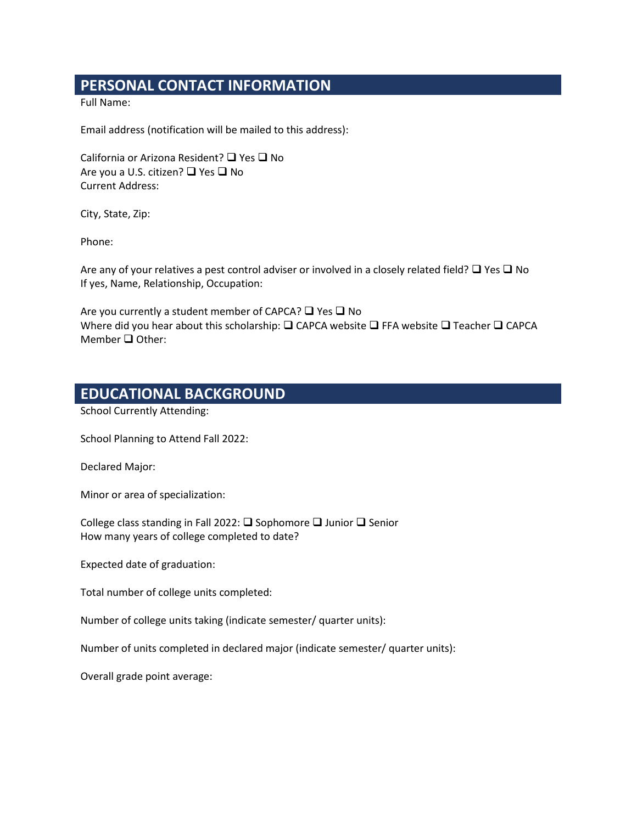# **PERSONAL CONTACT INFORMATION**

Full Name:

Email address (notification will be mailed to this address):

California or Arizona Resident?  $\Box$  Yes  $\Box$  No Are you a U.S. citizen?  $\Box$  Yes  $\Box$  No Current Address:

City, State, Zip:

Phone:

Are any of your relatives a pest control adviser or involved in a closely related field?  $\Box$  Yes  $\Box$  No If yes, Name, Relationship, Occupation:

Are you currently a student member of CAPCA?  $\Box$  Yes  $\Box$  No Where did you hear about this scholarship:  $\square$  CAPCA website  $\square$  FFA website  $\square$  Teacher  $\square$  CAPCA Member  $\Box$  Other:

### **EDUCATIONAL BACKGROUND**

School Currently Attending:

School Planning to Attend Fall 2022:

Declared Major:

Minor or area of specialization:

College class standing in Fall 2022:  $\square$  Sophomore  $\square$  Junior  $\square$  Senior How many years of college completed to date?

Expected date of graduation:

Total number of college units completed:

Number of college units taking (indicate semester/ quarter units):

Number of units completed in declared major (indicate semester/ quarter units):

Overall grade point average: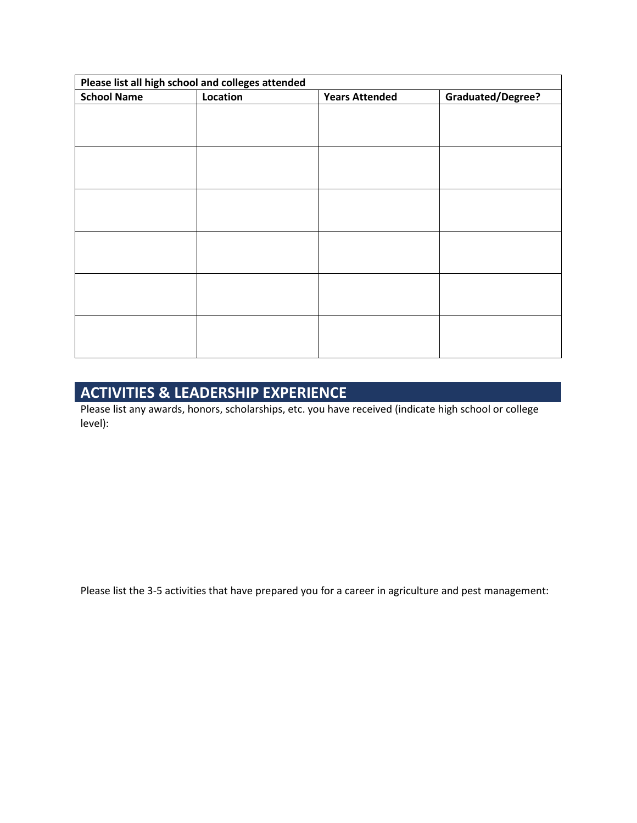| Please list all high school and colleges attended |          |                       |                          |
|---------------------------------------------------|----------|-----------------------|--------------------------|
| <b>School Name</b>                                | Location | <b>Years Attended</b> | <b>Graduated/Degree?</b> |
|                                                   |          |                       |                          |
|                                                   |          |                       |                          |
|                                                   |          |                       |                          |
|                                                   |          |                       |                          |
|                                                   |          |                       |                          |
|                                                   |          |                       |                          |
|                                                   |          |                       |                          |
|                                                   |          |                       |                          |
|                                                   |          |                       |                          |
|                                                   |          |                       |                          |
|                                                   |          |                       |                          |
|                                                   |          |                       |                          |
|                                                   |          |                       |                          |
|                                                   |          |                       |                          |
|                                                   |          |                       |                          |
|                                                   |          |                       |                          |
|                                                   |          |                       |                          |
|                                                   |          |                       |                          |

# **ACTIVITIES & LEADERSHIP EXPERIENCE**

Please list any awards, honors, scholarships, etc. you have received (indicate high school or college level):

Please list the 3-5 activities that have prepared you for a career in agriculture and pest management: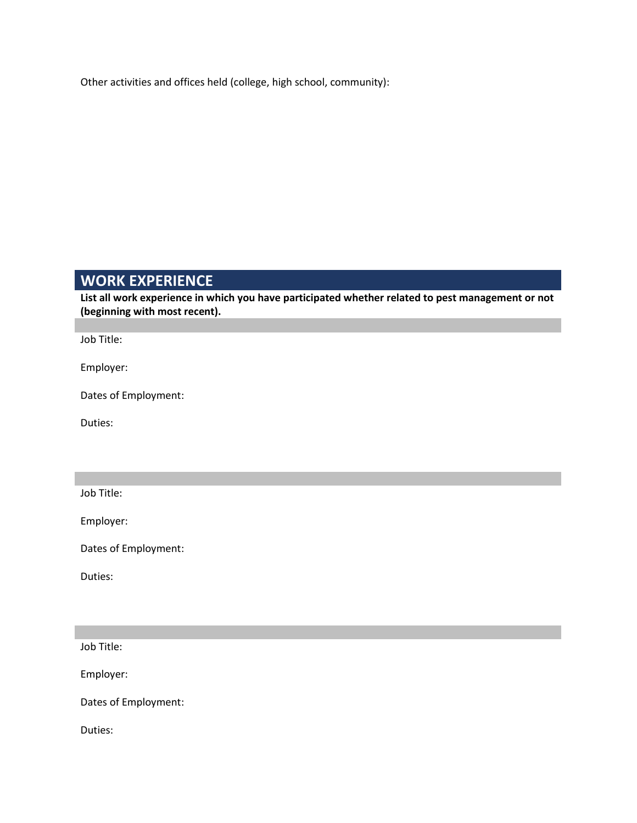Other activities and offices held (college, high school, community):

## **WORK EXPERIENCE**

**List all work experience in which you have participated whether related to pest management or not (beginning with most recent).**

Job Title:

Employer:

Dates of Employment:

Duties:

Job Title:

Employer:

Dates of Employment:

Duties:

Job Title:

Employer:

Dates of Employment:

Duties: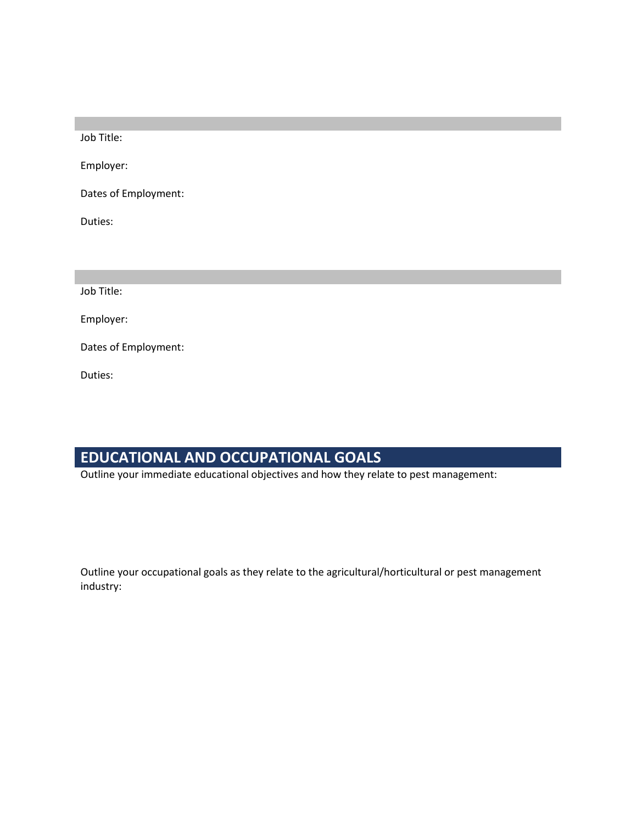Job Title:

Employer:

Dates of Employment:

Duties:

Job Title:

Employer:

Dates of Employment:

Duties:

# **EDUCATIONAL AND OCCUPATIONAL GOALS**

Outline your immediate educational objectives and how they relate to pest management:

Outline your occupational goals as they relate to the agricultural/horticultural or pest management industry: